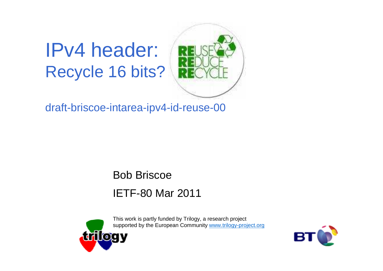# IPv4 header: Recycle 16 bits?



draft-briscoe-intarea-ipv4-id-reuse-00

#### Bob BriscoeIETF-80 Mar 2011



This work is partly funded by Trilogy, a research project supported by the European Community www.trilogy-project.org

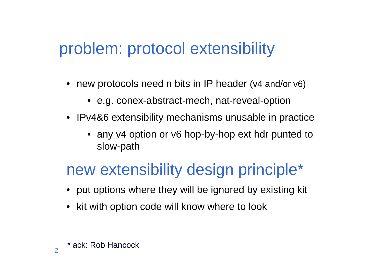### problem: protocol extensibility

- new protocols need n bits in IP header (v4 and/or v6)
	- e.g. conex-abstract-mech, nat-reveal-option
- IPv4&6 extensibility mechanisms unusable in practice
	- any v4 option or v6 hop-by-hop ext hdr punted to slow-path

### new extensibility design principle\*

- put options where they will be ignored by existing kit
- kit with option code will know where to look

ack: Rob Hancock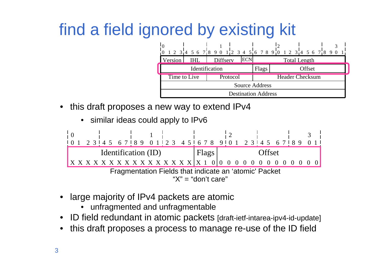## find a field ignored by existing kit

|                            |                        | $1_{0}$ 1 2 3 4 5 6 7 8 9 0 1 2 3 4 5 6 7 8 9 0 1 2 3 4 5 6 7 8 9 0 |  |  |  |  |  |  |  |  |
|----------------------------|------------------------|---------------------------------------------------------------------|--|--|--|--|--|--|--|--|
| Version  <br>H             | ECN<br><b>Diffserv</b> | <b>Total Length</b>                                                 |  |  |  |  |  |  |  |  |
|                            | Identification         | Offset<br>Flags                                                     |  |  |  |  |  |  |  |  |
| Time to Live               | Protocol               | <b>Header Checksum</b>                                              |  |  |  |  |  |  |  |  |
| <b>Source Address</b>      |                        |                                                                     |  |  |  |  |  |  |  |  |
| <b>Destination Address</b> |                        |                                                                     |  |  |  |  |  |  |  |  |

- • this draft proposes a new way to extend IPv4
	- similar ideas could apply to IPv6



- • large majority of IPv4 packets are atomic
	- •unfragmented and unfragmentable
- ID field redundant in atomic packets [draft-ietf-intarea-ipv4-id-update]
- •this draft proposes a process to manage re-use of the ID field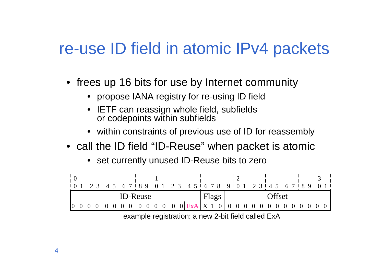### re-use ID field in atomic IPv4 packets

- frees up 16 bits for use by Internet community
	- propose IANA registry for re-using ID field
	- IETF can reassign whole field, subfields or codepoints within subfields
	- within constraints of previous use of ID for reassembly
- call the ID field "ID-Reuse" when packet is atomic





example registration: a new 2-bit field called ExA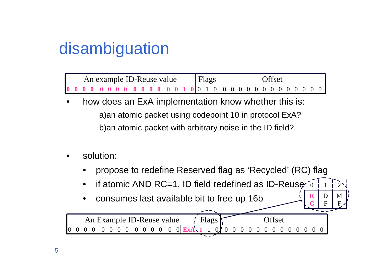### disambiguation

| An example ID-Reuse value |  |  |  |  |  |  |                                                                   |  |  |  |  | $ $ Flags $ $<br>Offset |  |  |  |  |  |  |  |  |  |  |  |  |  |  |  |
|---------------------------|--|--|--|--|--|--|-------------------------------------------------------------------|--|--|--|--|-------------------------|--|--|--|--|--|--|--|--|--|--|--|--|--|--|--|
|                           |  |  |  |  |  |  | 0 0 0 0 0 0 0 0 0 0 0 0 0 0 1 0 0 1 0 0 0 0 0 0 0 0 0 0 0 0 0 0 0 |  |  |  |  |                         |  |  |  |  |  |  |  |  |  |  |  |  |  |  |  |

- • how does an ExA implementation know whether this is: a)an atomic packet using codepoint 10 in protocol ExA? b)an atomic packet with arbitrary noise in the ID field?
- • solution:
	- •propose to redefine Reserved flag as 'Recycled' (RC) flag
	- $\bullet$ if atomic AND RC=1, ID field redefined as ID-Reuse  $\begin{bmatrix} 0 & 1 & 2 \end{bmatrix}$

**RC** DF

MF

•consumes last available bit to free up 16b

0 0 0 0 0 0 0 0 0 0 0 0 0 0 **ExA**An Example ID-Reuse value  $\int$  Flags  $\int$  Offset **1**1 0 0 0 0 0 0 0 0 0 0 0 0 0 0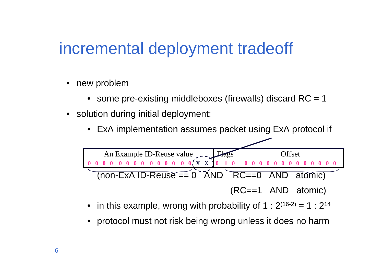### incremental deployment tradeoff

- • new problem
	- $\bullet~$  some pre-existing middleboxes (firewalls) discard RC = 1
- solution during initial deployment:
	- ExA implementation assumes packet using ExA protocol if



- $\bullet~$  in this example, wrong with probability of 1 : 2 $^{(16\text{-}2)}$  = 1 : 2 $^{14}$
- protocol must not risk being wrong unless it does no harm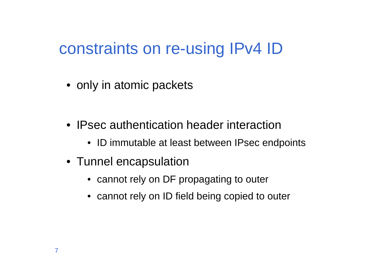### constraints on re-using IPv4 ID

- only in atomic packets
- IPsec authentication header interaction
	- ID immutable at least between IPsec endpoints
- Tunnel encapsulation
	- cannot rely on DF propagating to outer
	- cannot rely on ID field being copied to outer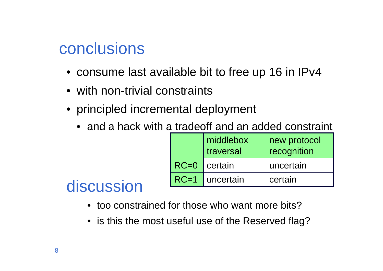### conclusions

- consume last available bit to free up 16 in IPv4
- with non-trivial constraints
- principled incremental deployment
	- and a hack with a tradeoff and an added constraint

|        | middlebox<br>traversal | new protocol<br>recognition |
|--------|------------------------|-----------------------------|
|        | $RC=0$   certain       | uncertain                   |
| $RC=1$ | uncertain              | certain                     |

### discussion

- too constrained for those who want more bits?
- is this the most useful use of the Reserved flag?